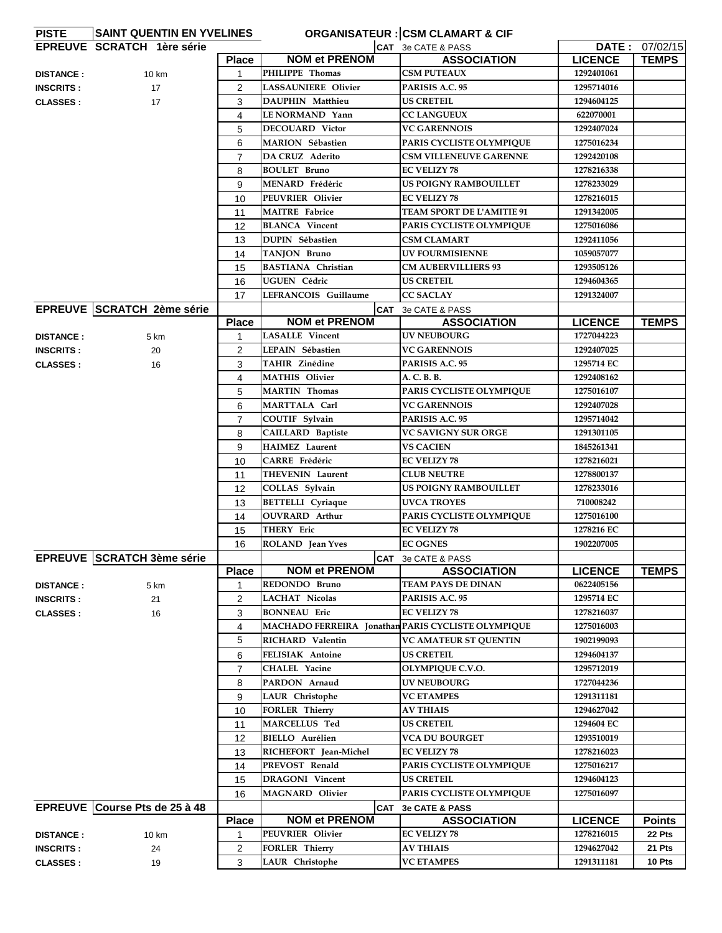| <b>PISTE</b>     | <b>SAINT QUENTIN EN YVELINES</b>  |                |                                                    | <b>ORGANISATEUR : CSM CLAMART &amp; CIF</b> |                |                |
|------------------|-----------------------------------|----------------|----------------------------------------------------|---------------------------------------------|----------------|----------------|
|                  | <b>EPREUVE SCRATCH 1ère série</b> |                |                                                    | CAT 3e CATE & PASS                          |                | DATE: 07/02/15 |
|                  |                                   | <b>Place</b>   | <b>NOM et PRENOM</b>                               | <b>ASSOCIATION</b>                          | <b>LICENCE</b> | <b>TEMPS</b>   |
| <b>DISTANCE:</b> | 10 km                             | 1              | PHILIPPE Thomas                                    | <b>CSM PUTEAUX</b>                          | 1292401061     |                |
| <b>INSCRITS:</b> | 17                                | 2              | <b>LASSAUNIERE Olivier</b>                         | PARISIS A.C. 95                             | 1295714016     |                |
| <b>CLASSES:</b>  | 17                                | 3              | <b>DAUPHIN Matthieu</b>                            | <b>US CRETEIL</b>                           | 1294604125     |                |
|                  |                                   | 4              | LE NORMAND Yann                                    | <b>CC LANGUEUX</b>                          | 622070001      |                |
|                  |                                   | 5              | <b>DECOUARD Victor</b>                             | <b>VC GARENNOIS</b>                         | 1292407024     |                |
|                  |                                   | 6              | <b>MARION Sébastien</b>                            | PARIS CYCLISTE OLYMPIQUE                    | 1275016234     |                |
|                  |                                   | $\overline{7}$ | DA CRUZ Aderito                                    | <b>CSM VILLENEUVE GARENNE</b>               | 1292420108     |                |
|                  |                                   | 8              | <b>BOULET Bruno</b>                                | <b>EC VELIZY 78</b>                         | 1278216338     |                |
|                  |                                   | 9              | MENARD Frédéric                                    | <b>US POIGNY RAMBOUILLET</b>                | 1278233029     |                |
|                  |                                   | 10             | PEUVRIER Olivier                                   | <b>EC VELIZY 78</b>                         | 1278216015     |                |
|                  |                                   | 11             | <b>MAITRE</b> Fabrice                              | TEAM SPORT DE L'AMITIE 91                   | 1291342005     |                |
|                  |                                   | 12             | <b>BLANCA</b> Vincent                              | PARIS CYCLISTE OLYMPIQUE                    | 1275016086     |                |
|                  |                                   | 13             | <b>DUPIN</b> Sébastien                             | <b>CSM CLAMART</b>                          | 1292411056     |                |
|                  |                                   | 14             | TANJON Bruno                                       | <b>UV FOURMISIENNE</b>                      | 1059057077     |                |
|                  |                                   | 15             | <b>BASTIANA Christian</b>                          | <b>CM AUBERVILLIERS 93</b>                  | 1293505126     |                |
|                  |                                   | 16             | UGUEN Cédric                                       | <b>US CRETEIL</b>                           | 1294604365     |                |
|                  |                                   | 17             | LEFRANCOIS Guillaume                               | <b>CC SACLAY</b>                            | 1291324007     |                |
|                  | EPREUVE SCRATCH 2ème série        |                |                                                    | CAT 3e CATE & PASS                          |                |                |
|                  |                                   | <b>Place</b>   | <b>NOM et PRENOM</b>                               | <b>ASSOCIATION</b>                          | <b>LICENCE</b> | <b>TEMPS</b>   |
| <b>DISTANCE:</b> | 5 km                              | 1              | <b>LASALLE</b> Vincent                             | <b>UV NEUBOURG</b>                          | 1727044223     |                |
| <b>INSCRITS:</b> | 20                                | $\overline{2}$ | LEPAIN Sébastien                                   | <b>VC GARENNOIS</b>                         | 1292407025     |                |
| <b>CLASSES:</b>  | 16                                | 3              | TAHIR Zinédine                                     | PARISIS A.C. 95                             | 1295714 EC     |                |
|                  |                                   | 4              | <b>MATHIS Olivier</b>                              | A. C. B. B.                                 | 1292408162     |                |
|                  |                                   | 5              | <b>MARTIN</b> Thomas                               | PARIS CYCLISTE OLYMPIQUE                    | 1275016107     |                |
|                  |                                   | 6              | MARTTALA Carl                                      | <b>VC GARENNOIS</b>                         | 1292407028     |                |
|                  |                                   | $\overline{7}$ | COUTIF Sylvain                                     | PARISIS A.C. 95                             | 1295714042     |                |
|                  |                                   | 8              | <b>CAILLARD Baptiste</b>                           | <b>VC SAVIGNY SUR ORGE</b>                  | 1291301105     |                |
|                  |                                   | 9              | <b>HAIMEZ</b> Laurent                              | <b>VS CACIEN</b>                            | 1845261341     |                |
|                  |                                   | 10             | CARRE Frédéric                                     | <b>EC VELIZY 78</b>                         | 1278216021     |                |
|                  |                                   | 11             | <b>THEVENIN Laurent</b>                            | <b>CLUB NEUTRE</b>                          | 1278800137     |                |
|                  |                                   | 12             | COLLAS Sylvain                                     | <b>US POIGNY RAMBOUILLET</b>                | 1278233016     |                |
|                  |                                   | 13             | <b>BETTELLI</b> Cyriaque                           | <b>UVCA TROYES</b>                          | 710008242      |                |
|                  |                                   | 14             | OUVRARD Arthur                                     | PARIS CYCLISTE OLYMPIQUE                    | 1275016100     |                |
|                  |                                   | 15             | THERY Eric                                         | <b>EC VELIZY 78</b>                         | 1278216 EC     |                |
|                  |                                   | 16             | ROLAND Jean Yves                                   | <b>EC OGNES</b>                             | 1902207005     |                |
|                  | <b>EPREUVE SCRATCH 3ème série</b> |                |                                                    | CAT 3e CATE & PASS                          |                |                |
|                  |                                   | <b>Place</b>   | <b>NOM et PRENOM</b>                               | <b>ASSOCIATION</b>                          | <b>LICENCE</b> | <b>TEMPS</b>   |
| <b>DISTANCE:</b> | 5 km                              | $\mathbf{1}$   | REDONDO Bruno                                      | TEAM PAYS DE DINAN                          | 0622405156     |                |
| <b>INSCRITS:</b> | 21                                | $\overline{2}$ | <b>LACHAT Nicolas</b>                              | PARISIS A.C. 95                             | 1295714 EC     |                |
| <b>CLASSES:</b>  | 16                                | 3              | <b>BONNEAU</b> Eric                                | <b>EC VELIZY 78</b>                         | 1278216037     |                |
|                  |                                   | 4              | MACHADO FERREIRA Jonathan PARIS CYCLISTE OLYMPIQUE |                                             | 1275016003     |                |
|                  |                                   | 5              | RICHARD Valentin                                   | <b>VC AMATEUR ST QUENTIN</b>                | 1902199093     |                |
|                  |                                   | 6              | FELISIAK Antoine                                   | <b>US CRETEIL</b>                           | 1294604137     |                |
|                  |                                   | $\overline{7}$ | <b>CHALEL Yacine</b>                               | OLYMPIQUE C.V.O.                            | 1295712019     |                |
|                  |                                   | 8              | PARDON Arnaud                                      | <b>UV NEUBOURG</b>                          | 1727044236     |                |
|                  |                                   | 9              | <b>LAUR</b> Christophe                             | <b>VC ETAMPES</b>                           | 1291311181     |                |
|                  |                                   | 10             | <b>FORLER Thierry</b>                              | <b>AV THIAIS</b>                            | 1294627042     |                |
|                  |                                   | 11             | MARCELLUS Ted                                      | <b>US CRETEIL</b>                           | 1294604 EC     |                |
|                  |                                   | 12             | <b>BIELLO</b> Aurélien                             | VCA DU BOURGET                              | 1293510019     |                |
|                  |                                   | 13             | RICHEFORT Jean-Michel                              | <b>EC VELIZY 78</b>                         | 1278216023     |                |
|                  |                                   | 14             | PREVOST Renald                                     | PARIS CYCLISTE OLYMPIQUE                    | 1275016217     |                |
|                  |                                   | 15             | <b>DRAGONI</b> Vincent                             | <b>US CRETEIL</b>                           | 1294604123     |                |
|                  |                                   | 16             | <b>MAGNARD Olivier</b>                             | PARIS CYCLISTE OLYMPIQUE                    | 1275016097     |                |
|                  | EPREUVE Course Pts de 25 à 48     |                |                                                    | CAT 3e CATE & PASS                          |                |                |
|                  |                                   | <b>Place</b>   | <b>NOM et PRENOM</b>                               | <b>ASSOCIATION</b>                          | <b>LICENCE</b> | <b>Points</b>  |
| <b>DISTANCE:</b> | 10 km                             | 1              | PEUVRIER Olivier                                   | <b>EC VELIZY 78</b>                         | 1278216015     | 22 Pts         |
| <b>INSCRITS:</b> | 24                                | $\overline{2}$ | <b>FORLER Thierry</b>                              | <b>AV THIAIS</b>                            | 1294627042     | 21 Pts         |
| <b>CLASSES:</b>  | 19                                | 3              | LAUR Christophe                                    | <b>VC ETAMPES</b>                           | 1291311181     | 10 Pts         |
|                  |                                   |                |                                                    |                                             |                |                |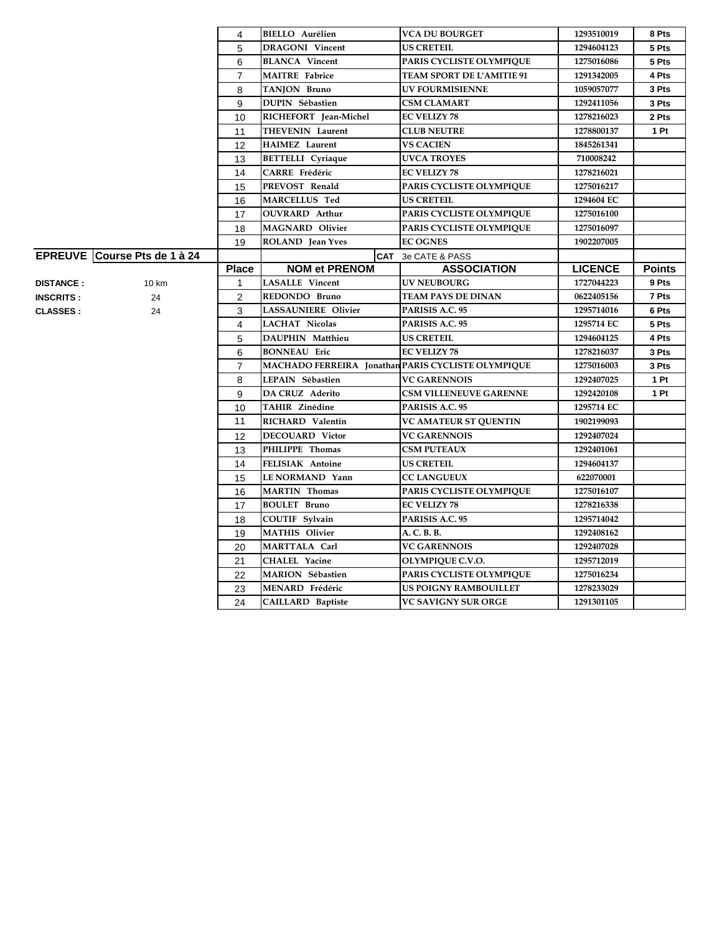|                  |                              | 4              | <b>BIELLO</b> Aurélien                             | <b>VCA DU BOURGET</b>         | 1293510019     | 8 Pts         |
|------------------|------------------------------|----------------|----------------------------------------------------|-------------------------------|----------------|---------------|
|                  |                              | 5              | <b>DRAGONI</b> Vincent                             | <b>US CRETEIL</b>             | 1294604123     | 5 Pts         |
|                  |                              | 6              | <b>BLANCA Vincent</b>                              | PARIS CYCLISTE OLYMPIQUE      | 1275016086     | 5 Pts         |
|                  |                              | $\overline{7}$ | <b>MAITRE</b> Fabrice                              | TEAM SPORT DE L'AMITIE 91     | 1291342005     | 4 Pts         |
|                  |                              | 8              | TANJON Bruno                                       | <b>UV FOURMISIENNE</b>        | 1059057077     | 3 Pts         |
|                  |                              | 9              | DUPIN Sébastien                                    | <b>CSM CLAMART</b>            | 1292411056     | 3 Pts         |
|                  |                              | 10             | RICHEFORT Jean-Michel                              | <b>EC VELIZY 78</b>           | 1278216023     | 2 Pts         |
|                  |                              | 11             | THEVENIN Laurent                                   | <b>CLUB NEUTRE</b>            | 1278800137     | 1 Pt          |
|                  |                              | 12             | <b>HAIMEZ</b> Laurent                              | <b>VS CACIEN</b>              | 1845261341     |               |
|                  |                              | 13             | <b>BETTELLI</b> Cyriaque                           | <b>UVCA TROYES</b>            | 710008242      |               |
|                  |                              | 14             | CARRE Frédéric                                     | <b>EC VELIZY 78</b>           | 1278216021     |               |
|                  |                              | 15             | PREVOST Renald                                     | PARIS CYCLISTE OLYMPIQUE      | 1275016217     |               |
|                  |                              | 16             | MARCELLUS Ted                                      | <b>US CRETEIL</b>             | 1294604 EC     |               |
|                  |                              | 17             | <b>OUVRARD</b> Arthur                              | PARIS CYCLISTE OLYMPIQUE      | 1275016100     |               |
|                  |                              | 18             | <b>MAGNARD Olivier</b>                             | PARIS CYCLISTE OLYMPIQUE      | 1275016097     |               |
|                  |                              | 19             | ROLAND Jean Yves                                   | <b>EC OGNES</b>               | 1902207005     |               |
|                  | EPREUVE Course Pts de 1 à 24 |                |                                                    | CAT 3e CATE & PASS            |                |               |
|                  |                              | <b>Place</b>   | <b>NOM et PRENOM</b>                               | <b>ASSOCIATION</b>            | <b>LICENCE</b> | <b>Points</b> |
| <b>DISTANCE:</b> | 10 km                        | 1              | <b>LASALLE</b> Vincent                             | <b>UV NEUBOURG</b>            | 1727044223     | 9 Pts         |
| <b>INSCRITS:</b> | 24                           | 2              | REDONDO Bruno                                      | <b>TEAM PAYS DE DINAN</b>     | 0622405156     | 7 Pts         |
| <b>CLASSES:</b>  | 24                           | 3              | <b>LASSAUNIERE Olivier</b>                         | PARISIS A.C. 95               | 1295714016     | 6 Pts         |
|                  |                              | 4              | <b>LACHAT Nicolas</b>                              | PARISIS A.C. 95               | 1295714 EC     | 5 Pts         |
|                  |                              | 5              | DAUPHIN Matthieu                                   | <b>US CRETEIL</b>             | 1294604125     | 4 Pts         |
|                  |                              | 6              | <b>BONNEAU Eric</b>                                | <b>EC VELIZY 78</b>           | 1278216037     | 3 Pts         |
|                  |                              | $\overline{7}$ | MACHADO FERREIRA Jonathan PARIS CYCLISTE OLYMPIQUE |                               | 1275016003     | 3 Pts         |
|                  |                              | 8              | LEPAIN Sébastien                                   | <b>VC GARENNOIS</b>           | 1292407025     | 1 Pt          |
|                  |                              | 9              | DA CRUZ Aderito                                    | <b>CSM VILLENEUVE GARENNE</b> | 1292420108     | 1 Pt          |
|                  |                              | 10             | <b>TAHIR Zinédine</b>                              | PARISIS A.C. 95               | 1295714 EC     |               |
|                  |                              | 11             | RICHARD Valentin                                   | <b>VC AMATEUR ST QUENTIN</b>  | 1902199093     |               |
|                  |                              | 12             | <b>DECOUARD Victor</b>                             | <b>VC GARENNOIS</b>           | 1292407024     |               |
|                  |                              | 13             | PHILIPPE Thomas                                    | <b>CSM PUTEAUX</b>            | 1292401061     |               |
|                  |                              | 14             | FELISIAK Antoine                                   | <b>US CRETEIL</b>             | 1294604137     |               |
|                  |                              | 15             | LE NORMAND Yann                                    | <b>CC LANGUEUX</b>            | 622070001      |               |
|                  |                              | 16             | <b>MARTIN</b> Thomas                               | PARIS CYCLISTE OLYMPIQUE      | 1275016107     |               |
|                  |                              | 17             | <b>BOULET Bruno</b>                                | <b>EC VELIZY 78</b>           | 1278216338     |               |
|                  |                              | 18             | <b>COUTIF Sylvain</b>                              | PARISIS A.C. 95               | 1295714042     |               |
|                  |                              | 19             | <b>MATHIS Olivier</b>                              | A. C. B. B.                   | 1292408162     |               |
|                  |                              | 20             | MARTTALA Carl                                      | <b>VC GARENNOIS</b>           | 1292407028     |               |
|                  |                              | 21             | <b>CHALEL Yacine</b>                               | <b>OLYMPIQUE C.V.O.</b>       | 1295712019     |               |
|                  |                              | 22             | MARION Sébastien                                   | PARIS CYCLISTE OLYMPIQUE      | 1275016234     |               |
|                  |                              | 23             | MENARD Frédéric                                    | <b>US POIGNY RAMBOUILLET</b>  | 1278233029     |               |
|                  |                              | 24             | CAILLARD Baptiste                                  | <b>VC SAVIGNY SUR ORGE</b>    | 1291301105     |               |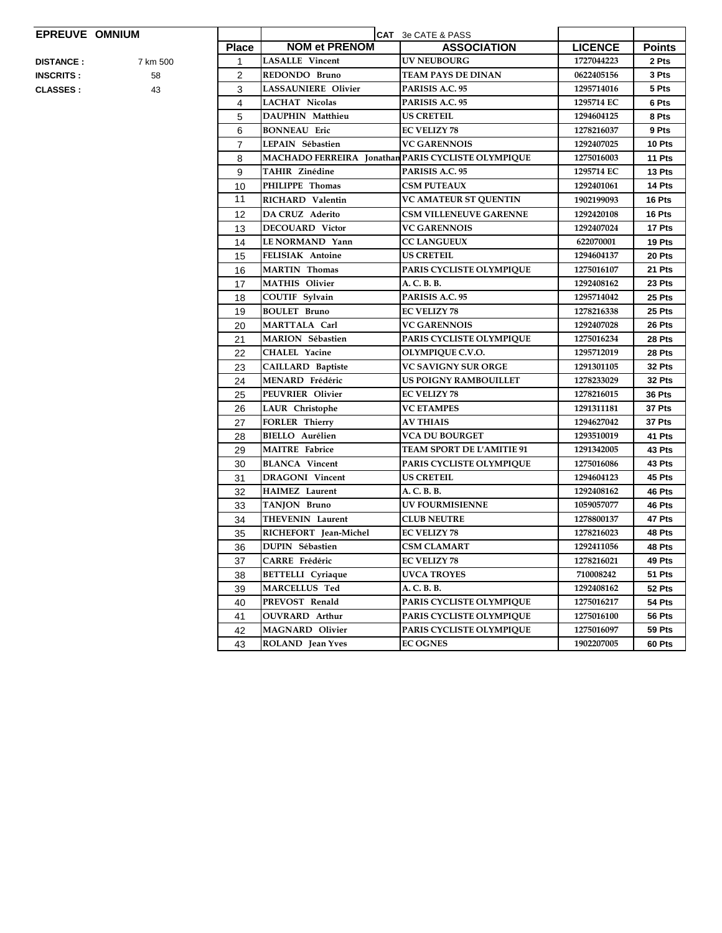## **EPREUVE OMNIUM**

| <b>EPREUVE OMNIUM</b> |          |                |                                                    | CAT 3e CATE & PASS               |                |               |
|-----------------------|----------|----------------|----------------------------------------------------|----------------------------------|----------------|---------------|
|                       |          | <b>Place</b>   | <b>NOM et PRENOM</b>                               | <b>ASSOCIATION</b>               | <b>LICENCE</b> | <b>Points</b> |
| <b>DISTANCE :</b>     | 7 km 500 | 1              | <b>LASALLE</b> Vincent                             | <b>UV NEUBOURG</b>               | 1727044223     | 2 Pts         |
| <b>INSCRITS :</b>     | 58       | $\overline{2}$ | REDONDO Bruno                                      | TEAM PAYS DE DINAN               | 0622405156     | 3 Pts         |
| <b>CLASSES :</b>      | 43       | 3              | <b>LASSAUNIERE Olivier</b>                         | PARISIS A.C. 95                  | 1295714016     | 5 Pts         |
|                       |          | 4              | <b>LACHAT Nicolas</b>                              | PARISIS A.C. 95                  | 1295714 EC     | 6 Pts         |
|                       |          | 5              | DAUPHIN Matthieu                                   | <b>US CRETEIL</b>                | 1294604125     | 8 Pts         |
|                       |          | 6              | <b>BONNEAU</b> Eric                                | <b>EC VELIZY 78</b>              | 1278216037     | 9 Pts         |
|                       |          | $\overline{7}$ | LEPAIN Sébastien                                   | <b>VC GARENNOIS</b>              | 1292407025     | 10 Pts        |
|                       |          | 8              | MACHADO FERREIRA Jonathan PARIS CYCLISTE OLYMPIQUE |                                  | 1275016003     | 11 Pts        |
|                       |          | 9              | <b>TAHIR Zinédine</b>                              | PARISIS A.C. 95                  | 1295714 EC     | 13 Pts        |
|                       |          | 10             | PHILIPPE Thomas                                    | <b>CSM PUTEAUX</b>               | 1292401061     | 14 Pts        |
|                       |          | 11             | RICHARD Valentin                                   | <b>VC AMATEUR ST QUENTIN</b>     | 1902199093     | 16 Pts        |
|                       |          | 12             | <b>DA CRUZ Aderito</b>                             | <b>CSM VILLENEUVE GARENNE</b>    | 1292420108     | 16 Pts        |
|                       |          | 13             | <b>DECOUARD Victor</b>                             | <b>VC GARENNOIS</b>              | 1292407024     | 17 Pts        |
|                       |          | 14             | LE NORMAND Yann                                    | <b>CC LANGUEUX</b>               | 622070001      | 19 Pts        |
|                       |          | 15             | <b>FELISIAK Antoine</b>                            | <b>US CRETEIL</b>                | 1294604137     | 20 Pts        |
|                       |          | 16             | <b>MARTIN</b> Thomas                               | PARIS CYCLISTE OLYMPIQUE         | 1275016107     | 21 Pts        |
|                       |          | 17             | <b>MATHIS Olivier</b>                              | A. C. B. B.                      | 1292408162     | 23 Pts        |
|                       |          | 18             | COUTIF Sylvain                                     | PARISIS A.C. 95                  | 1295714042     | 25 Pts        |
|                       |          | 19             | <b>BOULET Bruno</b>                                | <b>EC VELIZY 78</b>              | 1278216338     | 25 Pts        |
|                       |          | 20             | MARTTALA Carl                                      | <b>VC GARENNOIS</b>              | 1292407028     | 26 Pts        |
|                       |          | 21             | MARION Sébastien                                   | PARIS CYCLISTE OLYMPIQUE         | 1275016234     | 28 Pts        |
|                       |          | 22             | <b>CHALEL Yacine</b>                               | OLYMPIQUE C.V.O.                 | 1295712019     | 28 Pts        |
|                       |          | 23             | <b>CAILLARD Baptiste</b>                           | <b>VC SAVIGNY SUR ORGE</b>       | 1291301105     | 32 Pts        |
|                       |          | 24             | MENARD Frédéric                                    | US POIGNY RAMBOUILLET            | 1278233029     | 32 Pts        |
|                       |          | 25             | PEUVRIER Olivier                                   | <b>EC VELIZY 78</b>              | 1278216015     | 36 Pts        |
|                       |          | 26             | LAUR Christophe                                    | <b>VC ETAMPES</b>                | 1291311181     | 37 Pts        |
|                       |          | 27             | <b>FORLER Thierry</b>                              | <b>AV THIAIS</b>                 | 1294627042     | 37 Pts        |
|                       |          | 28             | <b>BIELLO</b> Aurélien                             | <b>VCA DU BOURGET</b>            | 1293510019     | 41 Pts        |
|                       |          | 29             | <b>MAITRE</b> Fabrice                              | <b>TEAM SPORT DE L'AMITIE 91</b> | 1291342005     | 43 Pts        |
|                       |          | 30             | <b>BLANCA</b> Vincent                              | PARIS CYCLISTE OLYMPIQUE         | 1275016086     | 43 Pts        |
|                       |          | 31             | <b>DRAGONI</b> Vincent                             | US CRETEIL                       | 1294604123     | 45 Pts        |
|                       |          | 32             | HAIMEZ Laurent                                     | A. C. B. B.                      | 1292408162     | 46 Pts        |
|                       |          | 33             | TANJON Bruno                                       | <b>UV FOURMISIENNE</b>           | 1059057077     | 46 Pts        |
|                       |          | 34             | <b>THEVENIN Laurent</b>                            | <b>CLUB NEUTRE</b>               | 1278800137     | 47 Pts        |
|                       |          | 35             | RICHEFORT Jean-Michel                              | <b>EC VELIZY 78</b>              | 1278216023     | 48 Pts        |
|                       |          | 36             | <b>DUPIN Sébastien</b>                             | <b>CSM CLAMART</b>               | 1292411056     | 48 Pts        |
|                       |          | 37             | CARRE Frédéric                                     | <b>EC VELIZY 78</b>              | 1278216021     | 49 Pts        |
|                       |          | 38             | <b>BETTELLI</b> Cyriaque                           | UVCA TROYES                      | 710008242      | 51 Pts        |
|                       |          | 39             | MARCELLUS Ted                                      | A. C. B. B.                      | 1292408162     | 52 Pts        |
|                       |          | 40             | PREVOST Renald                                     | PARIS CYCLISTE OLYMPIQUE         | 1275016217     | 54 Pts        |
|                       |          | 41             | <b>OUVRARD</b> Arthur                              | PARIS CYCLISTE OLYMPIQUE         | 1275016100     | 56 Pts        |
|                       |          | 42             | MAGNARD Olivier                                    | PARIS CYCLISTE OLYMPIQUE         | 1275016097     | 59 Pts        |
|                       |          | 43             | ROLAND Jean Yves                                   | <b>EC OGNES</b>                  | 1902207005     | 60 Pts        |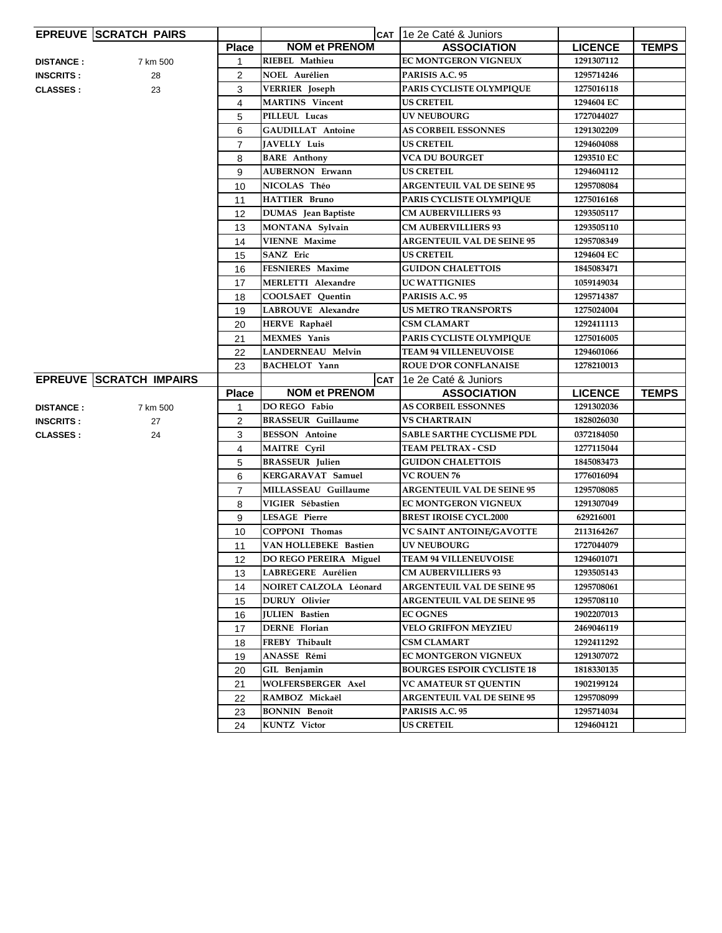|                  | <b>EPREUVE SCRATCH PAIRS</b>   |                |                            | CAT 1e 2e Caté & Juniors          |                |              |
|------------------|--------------------------------|----------------|----------------------------|-----------------------------------|----------------|--------------|
|                  |                                | <b>Place</b>   | <b>NOM et PRENOM</b>       | <b>ASSOCIATION</b>                | <b>LICENCE</b> | <b>TEMPS</b> |
| <b>DISTANCE:</b> | 7 km 500                       | 1              | RIEBEL Mathieu             | EC MONTGERON VIGNEUX              | 1291307112     |              |
| <b>INSCRITS:</b> | 28                             | $\overline{c}$ | <b>NOEL Aurélien</b>       | PARISIS A.C. 95                   | 1295714246     |              |
| <b>CLASSES:</b>  | 23                             | 3              | <b>VERRIER</b> Joseph      | PARIS CYCLISTE OLYMPIQUE          | 1275016118     |              |
|                  |                                | $\overline{4}$ | <b>MARTINS</b> Vincent     | <b>US CRETEIL</b>                 | 1294604 EC     |              |
|                  |                                | 5              | PILLEUL Lucas              | <b>UV NEUBOURG</b>                | 1727044027     |              |
|                  |                                | 6              | <b>GAUDILLAT Antoine</b>   | <b>AS CORBEIL ESSONNES</b>        | 1291302209     |              |
|                  |                                | $\overline{7}$ | JAVELLY Luis               | <b>US CRETEIL</b>                 | 1294604088     |              |
|                  |                                | 8              | <b>BARE</b> Anthony        | <b>VCA DU BOURGET</b>             | 1293510 EC     |              |
|                  |                                | 9              | <b>AUBERNON Erwann</b>     | <b>US CRETEIL</b>                 | 1294604112     |              |
|                  |                                | 10             | NICOLAS Théo               | <b>ARGENTEUIL VAL DE SEINE 95</b> | 1295708084     |              |
|                  |                                | 11             | <b>HATTIER Bruno</b>       | PARIS CYCLISTE OLYMPIQUE          | 1275016168     |              |
|                  |                                | 12             | <b>DUMAS</b> Jean Baptiste | <b>CM AUBERVILLIERS 93</b>        | 1293505117     |              |
|                  |                                | 13             | MONTANA Sylvain            | <b>CM AUBERVILLIERS 93</b>        | 1293505110     |              |
|                  |                                | 14             | <b>VIENNE Maxime</b>       | <b>ARGENTEUIL VAL DE SEINE 95</b> | 1295708349     |              |
|                  |                                | 15             | <b>SANZ</b> Eric           | <b>US CRETEIL</b>                 | 1294604 EC     |              |
|                  |                                | 16             | <b>FESNIERES</b> Maxime    | <b>GUIDON CHALETTOIS</b>          | 1845083471     |              |
|                  |                                | 17             | <b>MERLETTI Alexandre</b>  | <b>UC WATTIGNIES</b>              | 1059149034     |              |
|                  |                                | 18             | <b>COOLSAET Quentin</b>    | PARISIS A.C. 95                   | 1295714387     |              |
|                  |                                | 19             | <b>LABROUVE</b> Alexandre  | <b>US METRO TRANSPORTS</b>        | 1275024004     |              |
|                  |                                | 20             | HERVE Raphaël              | <b>CSM CLAMART</b>                | 1292411113     |              |
|                  |                                | 21             | <b>MEXMES</b> Yanis        | PARIS CYCLISTE OLYMPIQUE          | 1275016005     |              |
|                  |                                | 22             | <b>LANDERNEAU Melvin</b>   | <b>TEAM 94 VILLENEUVOISE</b>      | 1294601066     |              |
|                  |                                | 23             | <b>BACHELOT</b> Yann       | <b>ROUE D'OR CONFLANAISE</b>      | 1278210013     |              |
|                  |                                |                |                            |                                   |                |              |
|                  | <b>EPREUVE SCRATCH IMPAIRS</b> |                |                            | CAT 1e 2e Caté & Juniors          |                |              |
|                  |                                | <b>Place</b>   | <b>NOM et PRENOM</b>       | <b>ASSOCIATION</b>                | <b>LICENCE</b> | <b>TEMPS</b> |
| <b>DISTANCE:</b> | 7 km 500                       | $\mathbf{1}$   | DO REGO Fabio              | <b>AS CORBEIL ESSONNES</b>        | 1291302036     |              |
| <b>INSCRITS:</b> | 27                             | 2              | <b>BRASSEUR Guillaume</b>  | <b>VS CHARTRAIN</b>               | 1828026030     |              |
| <b>CLASSES:</b>  | 24                             | 3              | <b>BESSON</b> Antoine      | <b>SABLE SARTHE CYCLISME PDL</b>  | 0372184050     |              |
|                  |                                | $\overline{4}$ | <b>MAITRE Cyril</b>        | <b>TEAM PELTRAX - CSD</b>         | 1277115044     |              |
|                  |                                | 5              | <b>BRASSEUR Julien</b>     | <b>GUIDON CHALETTOIS</b>          | 1845083473     |              |
|                  |                                | 6              | <b>KERGARAVAT Samuel</b>   | <b>VC ROUEN 76</b>                | 1776016094     |              |
|                  |                                | $\overline{7}$ | MILLASSEAU Guillaume       | <b>ARGENTEUIL VAL DE SEINE 95</b> | 1295708085     |              |
|                  |                                | 8              | VIGIER Sébastien           | <b>EC MONTGERON VIGNEUX</b>       | 1291307049     |              |
|                  |                                | 9              | <b>LESAGE Pierre</b>       | <b>BREST IROISE CYCL.2000</b>     | 629216001      |              |
|                  |                                | 10             | <b>COPPONI Thomas</b>      | VC SAINT ANTOINE/GAVOTTE          | 2113164267     |              |
|                  |                                | 11             | VAN HOLLEBEKE Bastien      | <b>UV NEUBOURG</b>                | 1727044079     |              |
|                  |                                | 12             | DO REGO PEREIRA Miguel     | <b>TEAM 94 VILLENEUVOISE</b>      | 1294601071     |              |
|                  |                                | 13             | LABREGERE Aurélien         | <b>CM AUBERVILLIERS 93</b>        | 1293505143     |              |
|                  |                                | 14             | NOIRET CALZOLA Léonard     | <b>ARGENTEUIL VAL DE SEINE 95</b> | 1295708061     |              |
|                  |                                | 15             | <b>DURUY</b> Olivier       | <b>ARGENTEUIL VAL DE SEINE 95</b> | 1295708110     |              |
|                  |                                | 16             | <b>JULIEN</b> Bastien      | <b>EC OGNES</b>                   | 1902207013     |              |
|                  |                                | 17             | DERNE Florian              | <b>VELO GRIFFON MEYZIEU</b>       | 2469046119     |              |
|                  |                                | 18             | FREBY Thibault             | <b>CSM CLAMART</b>                | 1292411292     |              |
|                  |                                | 19             | ANASSE Rémi                | <b>EC MONTGERON VIGNEUX</b>       | 1291307072     |              |
|                  |                                | 20             | GIL Benjamin               | <b>BOURGES ESPOIR CYCLISTE 18</b> | 1818330135     |              |
|                  |                                | 21             | WOLFERSBERGER Axel         | <b>VC AMATEUR ST QUENTIN</b>      | 1902199124     |              |
|                  |                                | 22             | RAMBOZ Mickaël             | <b>ARGENTEUIL VAL DE SEINE 95</b> | 1295708099     |              |
|                  |                                | 23             | <b>BONNIN</b> Benoît       | PARISIS A.C. 95                   | 1295714034     |              |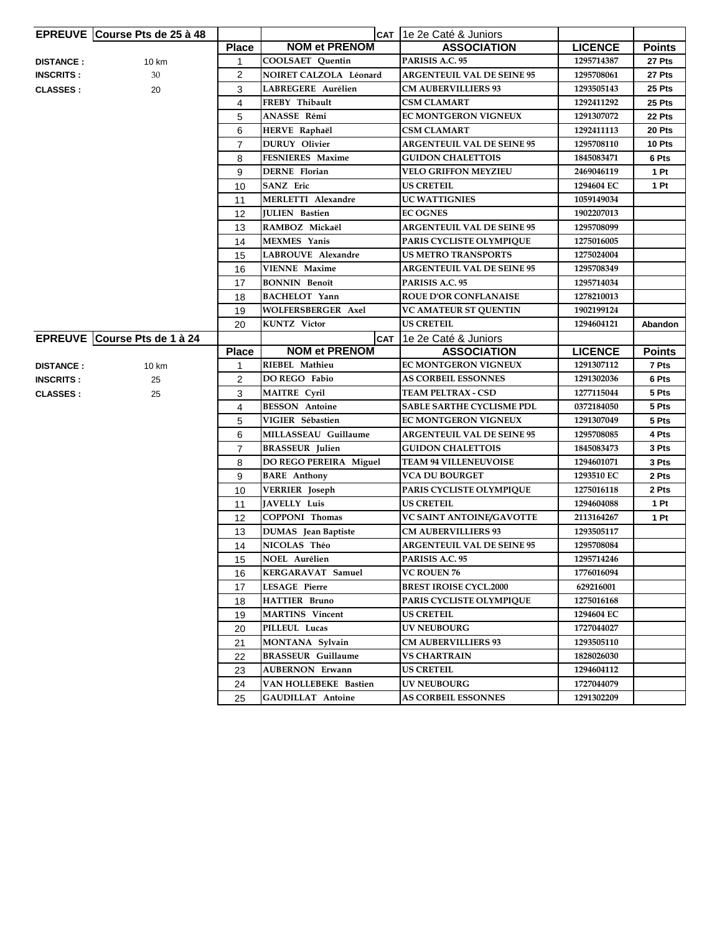|                  | <b>EPREUVE Course Pts de 25 à 48</b> |                |                            | CAT 1e 2e Caté & Juniors          |                |               |
|------------------|--------------------------------------|----------------|----------------------------|-----------------------------------|----------------|---------------|
|                  |                                      | <b>Place</b>   | <b>NOM et PRENOM</b>       | <b>ASSOCIATION</b>                | <b>LICENCE</b> | <b>Points</b> |
| <b>DISTANCE:</b> | 10 km                                | 1              | <b>COOLSAET Ouentin</b>    | PARISIS A.C. 95                   | 1295714387     | 27 Pts        |
| <b>INSCRITS:</b> | 30                                   | 2              | NOIRET CALZOLA Léonard     | <b>ARGENTEUIL VAL DE SEINE 95</b> | 1295708061     | 27 Pts        |
| <b>CLASSES:</b>  | 20                                   | 3              | LABREGERE Aurélien         | <b>CM AUBERVILLIERS 93</b>        | 1293505143     | 25 Pts        |
|                  |                                      | 4              | FREBY Thibault             | <b>CSM CLAMART</b>                | 1292411292     | 25 Pts        |
|                  |                                      | 5              | ANASSE Rémi                | <b>EC MONTGERON VIGNEUX</b>       | 1291307072     | 22 Pts        |
|                  |                                      | 6              | HERVE Raphaël              | <b>CSM CLAMART</b>                | 1292411113     | 20 Pts        |
|                  |                                      | $\overline{7}$ | <b>DURUY</b> Olivier       | <b>ARGENTEUIL VAL DE SEINE 95</b> | 1295708110     | 10 Pts        |
|                  |                                      | 8              | <b>FESNIERES Maxime</b>    | <b>GUIDON CHALETTOIS</b>          | 1845083471     | 6 Pts         |
|                  |                                      | 9              | DERNE Florian              | <b>VELO GRIFFON MEYZIEU</b>       | 2469046119     | 1 Pt          |
|                  |                                      | 10             | SANZ Eric                  | <b>US CRETEIL</b>                 | 1294604 EC     | 1 Pt          |
|                  |                                      | 11             | <b>MERLETTI Alexandre</b>  | UC WATTIGNIES                     | 1059149034     |               |
|                  |                                      | 12             | <b>JULIEN</b> Bastien      | <b>EC OGNES</b>                   | 1902207013     |               |
|                  |                                      | 13             | RAMBOZ Mickaël             | <b>ARGENTEUIL VAL DE SEINE 95</b> | 1295708099     |               |
|                  |                                      | 14             | <b>MEXMES</b> Yanis        | PARIS CYCLISTE OLYMPIQUE          | 1275016005     |               |
|                  |                                      | 15             | LABROUVE Alexandre         | <b>US METRO TRANSPORTS</b>        | 1275024004     |               |
|                  |                                      | 16             | <b>VIENNE Maxime</b>       | <b>ARGENTEUIL VAL DE SEINE 95</b> | 1295708349     |               |
|                  |                                      | 17             | <b>BONNIN Benoît</b>       | PARISIS A.C. 95                   | 1295714034     |               |
|                  |                                      | 18             | <b>BACHELOT</b> Yann       | <b>ROUE D'OR CONFLANAISE</b>      | 1278210013     |               |
|                  |                                      | 19             | WOLFERSBERGER Axel         | <b>VC AMATEUR ST QUENTIN</b>      | 1902199124     |               |
|                  |                                      | 20             | <b>KUNTZ</b> Victor        | <b>US CRETEIL</b>                 | 1294604121     | Abandon       |
|                  | EPREUVE Course Pts de 1 à 24         |                | <b>CAT</b>                 | 1e 2e Caté & Juniors              |                |               |
|                  |                                      | <b>Place</b>   | <b>NOM et PRENOM</b>       | <b>ASSOCIATION</b>                | <b>LICENCE</b> | <b>Points</b> |
| <b>DISTANCE:</b> | 10 km                                | 1              | RIEBEL Mathieu             | <b>EC MONTGERON VIGNEUX</b>       | 1291307112     | 7 Pts         |
| <b>INSCRITS:</b> | 25                                   | 2              | DO REGO Fabio              | <b>AS CORBEIL ESSONNES</b>        | 1291302036     | 6 Pts         |
| <b>CLASSES:</b>  | 25                                   | 3              | <b>MAITRE Cyril</b>        | TEAM PELTRAX - CSD                | 1277115044     | 5 Pts         |
|                  |                                      | $\overline{4}$ | <b>BESSON</b> Antoine      | <b>SABLE SARTHE CYCLISME PDL</b>  | 0372184050     | 5 Pts         |
|                  |                                      | 5              | VIGIER Sébastien           | EC MONTGERON VIGNEUX              | 1291307049     | 5 Pts         |
|                  |                                      | 6              | MILLASSEAU Guillaume       | <b>ARGENTEUIL VAL DE SEINE 95</b> | 1295708085     | 4 Pts         |
|                  |                                      | $\overline{7}$ | <b>BRASSEUR</b> Julien     | <b>GUIDON CHALETTOIS</b>          | 1845083473     | 3 Pts         |
|                  |                                      | 8              | DO REGO PEREIRA Miguel     | <b>TEAM 94 VILLENEUVOISE</b>      | 1294601071     | 3 Pts         |
|                  |                                      | 9              | <b>BARE</b> Anthony        | VCA DU BOURGET                    | 1293510 EC     | 2 Pts         |
|                  |                                      | 10             | <b>VERRIER</b> Joseph      | PARIS CYCLISTE OLYMPIQUE          | 1275016118     | 2 Pts         |
|                  |                                      | 11             | <b>JAVELLY Luis</b>        | <b>US CRETEIL</b>                 | 1294604088     | 1 Pt          |
|                  |                                      | $12 \,$        | COPPONI Thomas             | VC SAINT ANTOINE/GAVOTTE          | 2113164267     | 1 Pt          |
|                  |                                      | 13             | <b>DUMAS</b> Jean Baptiste | <b>CM AUBERVILLIERS 93</b>        | 1293505117     |               |
|                  |                                      | 14             | NICOLAS Théo               | <b>ARGENTEUIL VAL DE SEINE 95</b> | 1295708084     |               |
|                  |                                      | 15             | NOEL Aurélien              | PARISIS A.C. 95                   | 1295714246     |               |
|                  |                                      | 16             | KERGARAVAT Samuel          | <b>VC ROUEN 76</b>                | 1776016094     |               |
|                  |                                      | 17             | <b>LESAGE Pierre</b>       | <b>BREST IROISE CYCL.2000</b>     | 629216001      |               |
|                  |                                      | 18             | <b>HATTIER Bruno</b>       | PARIS CYCLISTE OLYMPIQUE          | 1275016168     |               |
|                  |                                      | 19             | <b>MARTINS</b> Vincent     | <b>US CRETEIL</b>                 | 1294604 EC     |               |
|                  |                                      | 20             | PILLEUL Lucas              | <b>UV NEUBOURG</b>                | 1727044027     |               |
|                  |                                      | 21             | MONTANA Sylvain            | <b>CM AUBERVILLIERS 93</b>        | 1293505110     |               |
|                  |                                      | 22             | <b>BRASSEUR Guillaume</b>  | <b>VS CHARTRAIN</b>               | 1828026030     |               |
|                  |                                      | 23             | <b>AUBERNON Erwann</b>     | <b>US CRETEIL</b>                 | 1294604112     |               |
|                  |                                      | 24             | VAN HOLLEBEKE Bastien      | <b>UV NEUBOURG</b>                | 1727044079     |               |
|                  |                                      | 25             | <b>GAUDILLAT Antoine</b>   | <b>AS CORBEIL ESSONNES</b>        | 1291302209     |               |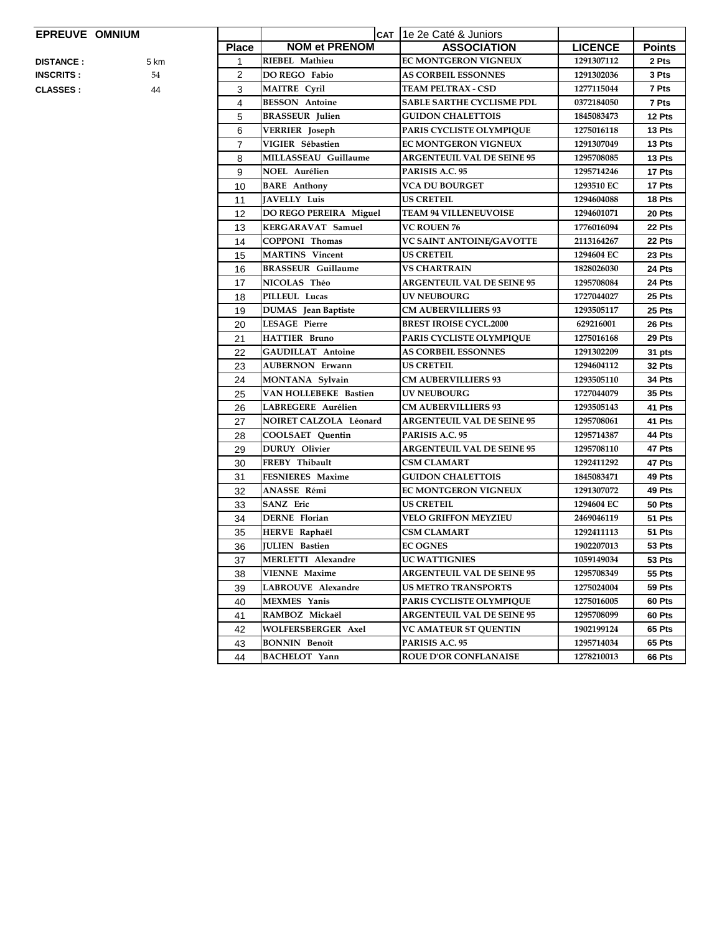## **EPREUVE OMNIUM**

| EPREUVE OMNIUM    |      |                |                           | CAT 1e 2e Caté & Juniors          |                |               |
|-------------------|------|----------------|---------------------------|-----------------------------------|----------------|---------------|
|                   |      | <b>Place</b>   | <b>NOM et PRENOM</b>      | <b>ASSOCIATION</b>                | <b>LICENCE</b> | <b>Points</b> |
| <b>DISTANCE:</b>  | 5 km | 1              | RIEBEL Mathieu            | EC MONTGERON VIGNEUX              | 1291307112     | 2 Pts         |
| <b>INSCRITS :</b> | 54   | 2              | DO REGO Fabio             | <b>AS CORBEIL ESSONNES</b>        | 1291302036     | 3 Pts         |
| <b>CLASSES :</b>  | 44   | 3              | <b>MAITRE Cyril</b>       | <b>TEAM PELTRAX - CSD</b>         | 1277115044     | 7 Pts         |
|                   |      | 4              | <b>BESSON</b> Antoine     | <b>SABLE SARTHE CYCLISME PDL</b>  | 0372184050     | 7 Pts         |
|                   |      | 5              | <b>BRASSEUR Julien</b>    | <b>GUIDON CHALETTOIS</b>          | 1845083473     | 12 Pts        |
|                   |      | 6              | <b>VERRIER</b> Joseph     | PARIS CYCLISTE OLYMPIQUE          | 1275016118     | 13 Pts        |
|                   |      | $\overline{7}$ | VIGIER Sébastien          | EC MONTGERON VIGNEUX              | 1291307049     | 13 Pts        |
|                   |      | 8              | MILLASSEAU Guillaume      | <b>ARGENTEUIL VAL DE SEINE 95</b> | 1295708085     | 13 Pts        |
|                   |      | 9              | <b>NOEL Aurélien</b>      | PARISIS A.C. 95                   | 1295714246     | 17 Pts        |
|                   |      | 10             | <b>BARE</b> Anthony       | <b>VCA DU BOURGET</b>             | 1293510 EC     | 17 Pts        |
|                   |      | 11             | JAVELLY Luis              | <b>US CRETEIL</b>                 | 1294604088     | 18 Pts        |
|                   |      | 12             | DO REGO PEREIRA Miguel    | <b>TEAM 94 VILLENEUVOISE</b>      | 1294601071     | 20 Pts        |
|                   |      | 13             | KERGARAVAT Samuel         | <b>VC ROUEN 76</b>                | 1776016094     | 22 Pts        |
|                   |      | 14             | <b>COPPONI Thomas</b>     | VC SAINT ANTOINE/GAVOTTE          | 2113164267     | 22 Pts        |
|                   |      | 15             | <b>MARTINS</b> Vincent    | <b>US CRETEIL</b>                 | 1294604 EC     | 23 Pts        |
|                   |      | 16             | <b>BRASSEUR Guillaume</b> | <b>VS CHARTRAIN</b>               | 1828026030     | 24 Pts        |
|                   |      | 17             | NICOLAS Théo              | <b>ARGENTEUIL VAL DE SEINE 95</b> | 1295708084     | 24 Pts        |
|                   |      | 18             | PILLEUL Lucas             | <b>UV NEUBOURG</b>                | 1727044027     | 25 Pts        |
|                   |      | 19             | DUMAS Jean Baptiste       | <b>CM AUBERVILLIERS 93</b>        | 1293505117     | 25 Pts        |
|                   |      | 20             | <b>LESAGE Pierre</b>      | <b>BREST IROISE CYCL.2000</b>     | 629216001      | 26 Pts        |
|                   |      | 21             | <b>HATTIER Bruno</b>      | PARIS CYCLISTE OLYMPIQUE          | 1275016168     | 29 Pts        |
|                   |      | 22             | <b>GAUDILLAT</b> Antoine  | <b>AS CORBEIL ESSONNES</b>        | 1291302209     | 31 pts        |
|                   |      | 23             | <b>AUBERNON Erwann</b>    | <b>US CRETEIL</b>                 | 1294604112     | 32 Pts        |
|                   |      | 24             | MONTANA Sylvain           | <b>CM AUBERVILLIERS 93</b>        | 1293505110     | 34 Pts        |
|                   |      | 25             | VAN HOLLEBEKE Bastien     | <b>UV NEUBOURG</b>                | 1727044079     | 35 Pts        |
|                   |      | 26             | LABREGERE Aurélien        | <b>CM AUBERVILLIERS 93</b>        | 1293505143     | 41 Pts        |
|                   |      | 27             | NOIRET CALZOLA Léonard    | <b>ARGENTEUIL VAL DE SEINE 95</b> | 1295708061     | 41 Pts        |
|                   |      | 28             | <b>COOLSAET</b> Quentin   | PARISIS A.C. 95                   | 1295714387     | 44 Pts        |
|                   |      | 29             | <b>DURUY</b> Olivier      | <b>ARGENTEUIL VAL DE SEINE 95</b> | 1295708110     | 47 Pts        |
|                   |      | 30             | FREBY Thibault            | <b>CSM CLAMART</b>                | 1292411292     | 47 Pts        |
|                   |      | 31             | FESNIERES Maxime          | <b>GUIDON CHALETTOIS</b>          | 1845083471     | 49 Pts        |
|                   |      | 32             | ANASSE Rémi               | <b>EC MONTGERON VIGNEUX</b>       | 1291307072     | 49 Pts        |
|                   |      | 33             | <b>SANZ</b> Eric          | <b>US CRETEIL</b>                 | 1294604 EC     | 50 Pts        |
|                   |      | 34             | <b>DERNE</b> Florian      | <b>VELO GRIFFON MEYZIEU</b>       | 2469046119     | 51 Pts        |
|                   |      | 35             | HERVE Raphaël             | <b>CSM CLAMART</b>                | 1292411113     | 51 Pts        |
|                   |      | 36             | <b>JULIEN</b> Bastien     | <b>EC OGNES</b>                   | 1902207013     | 53 Pts        |
|                   |      | 37             | <b>MERLETTI Alexandre</b> | <b>UC WATTIGNIES</b>              | 1059149034     | 53 Pts        |
|                   |      | 38             | <b>VIENNE Maxime</b>      | <b>ARGENTEUIL VAL DE SEINE 95</b> | 1295708349     | <b>55 Pts</b> |
|                   |      | 39             | LABROUVE Alexandre        | <b>US METRO TRANSPORTS</b>        | 1275024004     | 59 Pts        |
|                   |      | 40             | <b>MEXMES</b> Yanis       | PARIS CYCLISTE OLYMPIQUE          | 1275016005     | 60 Pts        |
|                   |      | 41             | RAMBOZ Mickaël            | <b>ARGENTEUIL VAL DE SEINE 95</b> | 1295708099     | 60 Pts        |
|                   |      | 42             | WOLFERSBERGER Axel        | <b>VC AMATEUR ST QUENTIN</b>      | 1902199124     | 65 Pts        |
|                   |      | 43             | <b>BONNIN Benoît</b>      | PARISIS A.C. 95                   | 1295714034     | 65 Pts        |
|                   |      | 44             | <b>BACHELOT</b> Yann      | <b>ROUE D'OR CONFLANAISE</b>      | 1278210013     | 66 Pts        |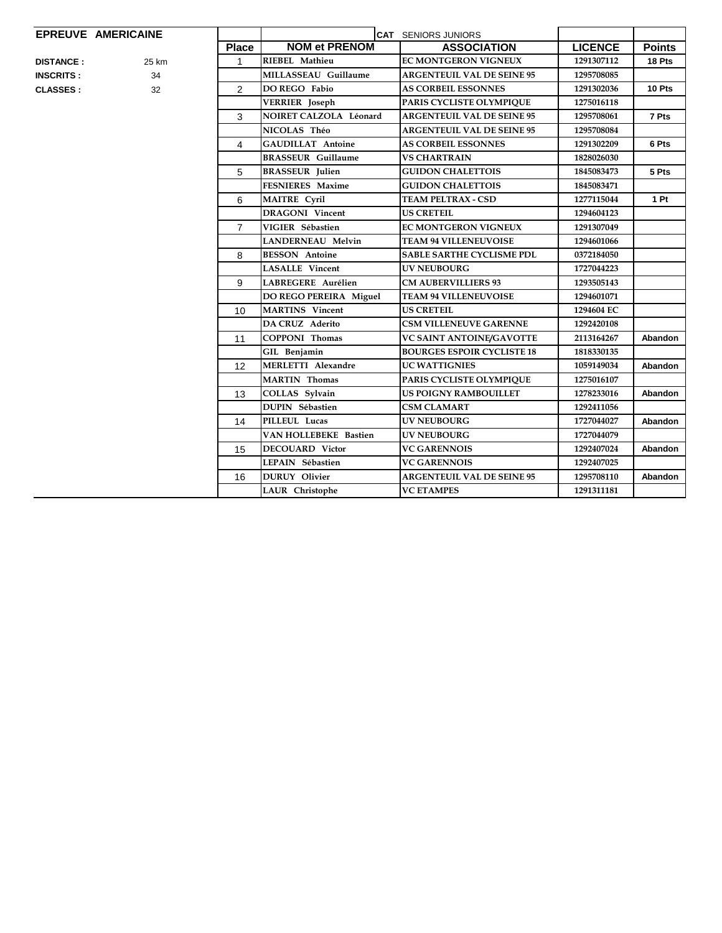## **EPREUVE AMERICAINE**

| <b>DISTANCE:</b> | 25 |
|------------------|----|
| <b>INSCRITS:</b> | З  |
| CLASSES ·        | э  |

| EPREUVE AMERICAINE         |                |                              | <b>CAT SENIORS JUNIORS</b>        |                |                 |
|----------------------------|----------------|------------------------------|-----------------------------------|----------------|-----------------|
|                            | <b>Place</b>   | <b>NOM et PRENOM</b>         | <b>ASSOCIATION</b>                | <b>LICENCE</b> | <b>Points</b>   |
| 25 km<br><b>DISTANCE :</b> | $\mathbf{1}$   | RIEBEL Mathieu               | EC MONTGERON VIGNEUX              | 1291307112     | 18 Pts          |
| 34<br><b>INSCRITS :</b>    |                | <b>MILLASSEAU Guillaume</b>  | <b>ARGENTEUIL VAL DE SEINE 95</b> | 1295708085     |                 |
| 32<br><b>CLASSES :</b>     | $\overline{2}$ | DO REGO Fabio                | <b>AS CORBEIL ESSONNES</b>        | 1291302036     | 10 Pts          |
|                            |                | <b>VERRIER</b> Joseph        | PARIS CYCLISTE OLYMPIOUE          | 1275016118     |                 |
|                            | 3              | NOIRET CALZOLA Léonard       | <b>ARGENTEUIL VAL DE SEINE 95</b> | 1295708061     | 7 Pts           |
|                            |                | NICOLAS Théo                 | <b>ARGENTEUIL VAL DE SEINE 95</b> | 1295708084     |                 |
|                            | $\overline{4}$ | <b>GAUDILLAT</b> Antoine     | <b>AS CORBEIL ESSONNES</b>        | 1291302209     | 6 Pts           |
|                            |                | <b>BRASSEUR Guillaume</b>    | <b>VS CHARTRAIN</b>               | 1828026030     |                 |
|                            | 5              | <b>BRASSEUR</b> Julien       | <b>GUIDON CHALETTOIS</b>          | 1845083473     | 5 Pts           |
|                            |                | <b>FESNIERES Maxime</b>      | <b>GUIDON CHALETTOIS</b>          | 1845083471     |                 |
|                            | 6              | <b>MAITRE Cyril</b>          | <b>TEAM PELTRAX - CSD</b>         | 1277115044     | 1P <sub>t</sub> |
|                            |                | <b>DRAGONI</b> Vincent       | <b>US CRETEIL</b>                 | 1294604123     |                 |
|                            | $\overline{7}$ | VIGIER Sébastien             | <b>EC MONTGERON VIGNEUX</b>       | 1291307049     |                 |
|                            |                | <b>LANDERNEAU Melvin</b>     | TEAM 94 VILLENEUVOISE             | 1294601066     |                 |
|                            | 8              | <b>BESSON</b> Antoine        | <b>SABLE SARTHE CYCLISME PDL</b>  | 0372184050     |                 |
|                            |                | <b>LASALLE</b> Vincent       | <b>UV NEUBOURG</b>                | 1727044223     |                 |
|                            | 9              | LABREGERE Aurélien           | <b>CM AUBERVILLIERS 93</b>        | 1293505143     |                 |
|                            |                | DO REGO PEREIRA Miguel       | <b>TEAM 94 VILLENEUVOISE</b>      | 1294601071     |                 |
|                            | 10             | <b>MARTINS</b> Vincent       | <b>US CRETEIL</b>                 | 1294604 EC     |                 |
|                            |                | DA CRUZ Aderito              | <b>CSM VILLENEUVE GARENNE</b>     | 1292420108     |                 |
|                            | 11             | <b>COPPONI Thomas</b>        | VC SAINT ANTOINE/GAVOTTE          | 2113164267     | <b>Abandon</b>  |
|                            |                | GIL Benjamin                 | <b>BOURGES ESPOIR CYCLISTE 18</b> | 1818330135     |                 |
|                            | 12             | <b>MERLETTI Alexandre</b>    | <b>UC WATTIGNIES</b>              | 1059149034     | <b>Abandon</b>  |
|                            |                | <b>MARTIN</b> Thomas         | PARIS CYCLISTE OLYMPIQUE          | 1275016107     |                 |
|                            | 13             | COLLAS Sylvain               | <b>US POIGNY RAMBOUILLET</b>      | 1278233016     | <b>Abandon</b>  |
|                            |                | <b>DUPIN Sébastien</b>       | <b>CSM CLAMART</b>                | 1292411056     |                 |
|                            | 14             | PILLEUL Lucas                | <b>UV NEUBOURG</b>                | 1727044027     | Abandon         |
|                            |                | <b>VAN HOLLEBEKE Bastien</b> | <b>UV NEUBOURG</b>                | 1727044079     |                 |
|                            | 15             | <b>DECOUARD Victor</b>       | <b>VC GARENNOIS</b>               | 1292407024     | Abandon         |
|                            |                | LEPAIN Sébastien             | <b>VC GARENNOIS</b>               | 1292407025     |                 |
|                            | 16             | <b>DURUY</b> Olivier         | <b>ARGENTEUIL VAL DE SEINE 95</b> | 1295708110     | <b>Abandon</b>  |
|                            |                | LAUR Christophe              | <b>VC ETAMPES</b>                 | 1291311181     |                 |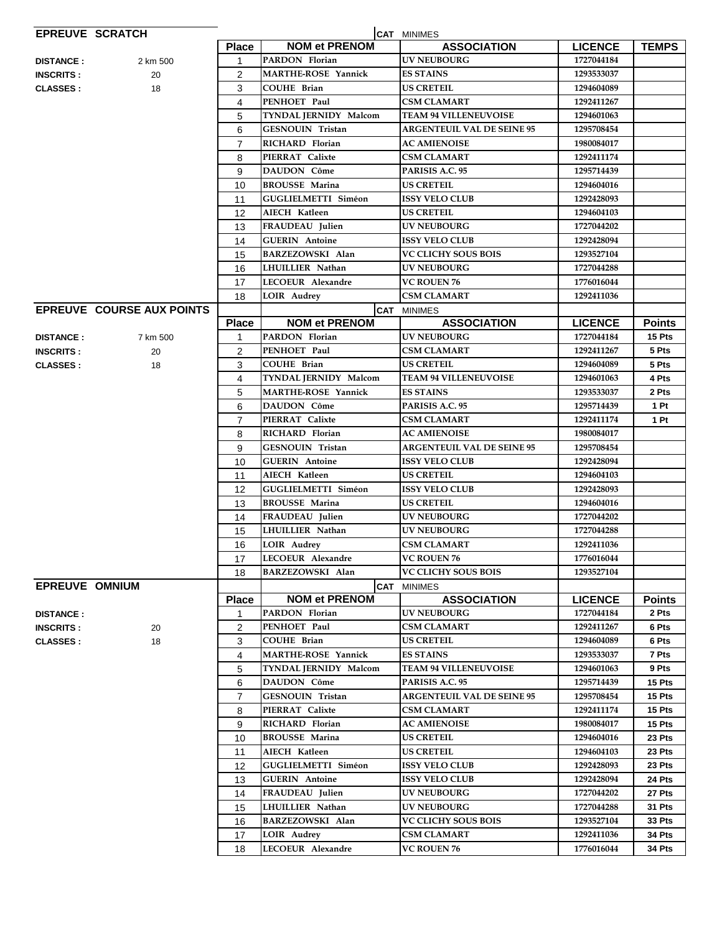|                       | <b>EPREUVE SCRATCH</b>           |                   |                            | <b>CAT MINIMES</b>                       |                |                        |
|-----------------------|----------------------------------|-------------------|----------------------------|------------------------------------------|----------------|------------------------|
|                       |                                  | <b>Place</b>      | <b>NOM et PRENOM</b>       | <b>ASSOCIATION</b>                       | <b>LICENCE</b> | <b>TEMPS</b>           |
| <b>DISTANCE:</b>      | 2 km 500                         | 1                 | <b>PARDON Florian</b>      | <b>UV NEUBOURG</b>                       | 1727044184     |                        |
| <b>INSCRITS:</b>      | 20                               | 2                 | <b>MARTHE-ROSE Yannick</b> | <b>ES STAINS</b>                         | 1293533037     |                        |
| <b>CLASSES:</b>       | 18                               | 3                 | <b>COUHE Brian</b>         | <b>US CRETEIL</b>                        | 1294604089     |                        |
|                       |                                  | 4                 | PENHOET Paul               | <b>CSM CLAMART</b>                       | 1292411267     |                        |
|                       |                                  | 5                 | TYNDAL JERNIDY Malcom      | <b>TEAM 94 VILLENEUVOISE</b>             | 1294601063     |                        |
|                       |                                  | 6                 | <b>GESNOUIN Tristan</b>    | <b>ARGENTEUIL VAL DE SEINE 95</b>        | 1295708454     |                        |
|                       |                                  | $\overline{7}$    | RICHARD Florian            | <b>AC AMIENOISE</b>                      | 1980084017     |                        |
|                       |                                  | 8                 | PIERRAT Calixte            | CSM CLAMART                              | 1292411174     |                        |
|                       |                                  | 9                 | DAUDON Côme                | PARISIS A.C. 95                          | 1295714439     |                        |
|                       |                                  | 10                | <b>BROUSSE Marina</b>      | <b>US CRETEIL</b>                        | 1294604016     |                        |
|                       |                                  | 11                | <b>GUGLIELMETTI Siméon</b> | <b>ISSY VELO CLUB</b>                    | 1292428093     |                        |
|                       |                                  | 12                | AIECH Katleen              | <b>US CRETEIL</b>                        | 1294604103     |                        |
|                       |                                  | 13                | FRAUDEAU Julien            | <b>UV NEUBOURG</b>                       | 1727044202     |                        |
|                       |                                  | 14                | <b>GUERIN</b> Antoine      | <b>ISSY VELO CLUB</b>                    | 1292428094     |                        |
|                       |                                  | 15                | <b>BARZEZOWSKI Alan</b>    | VC CLICHY SOUS BOIS                      | 1293527104     |                        |
|                       |                                  | 16                | LHUILLIER Nathan           | <b>UV NEUBOURG</b>                       | 1727044288     |                        |
|                       |                                  | 17                | LECOEUR Alexandre          | <b>VC ROUEN 76</b>                       | 1776016044     |                        |
|                       |                                  | 18                | <b>LOIR Audrey</b>         | <b>CSM CLAMART</b>                       | 1292411036     |                        |
|                       | <b>EPREUVE COURSE AUX POINTS</b> |                   |                            | <b>CAT MINIMES</b>                       |                |                        |
|                       |                                  | <b>Place</b>      | <b>NOM et PRENOM</b>       | <b>ASSOCIATION</b>                       | <b>LICENCE</b> | <b>Points</b>          |
| <b>DISTANCE:</b>      | 7 km 500                         | 1                 | PARDON Florian             | <b>UV NEUBOURG</b>                       | 1727044184     | 15 Pts                 |
| <b>INSCRITS:</b>      | 20                               | $\overline{2}$    | PENHOET Paul               | CSM CLAMART                              | 1292411267     | 5 Pts                  |
| <b>CLASSES:</b>       | 18                               | 3                 | <b>COUHE Brian</b>         | <b>US CRETEIL</b>                        | 1294604089     | 5 Pts                  |
|                       |                                  | 4                 | TYNDAL JERNIDY Malcom      | <b>TEAM 94 VILLENEUVOISE</b>             | 1294601063     | 4 Pts                  |
|                       |                                  | 5                 | <b>MARTHE-ROSE Yannick</b> | <b>ES STAINS</b>                         | 1293533037     | 2 Pts                  |
|                       |                                  | 6                 | DAUDON Côme                | PARISIS A.C. 95                          | 1295714439     | 1 Pt                   |
|                       |                                  | $\overline{7}$    | PIERRAT Calixte            | <b>CSM CLAMART</b>                       | 1292411174     | 1 Pt                   |
|                       |                                  | 8                 | RICHARD Florian            | <b>AC AMIENOISE</b>                      | 1980084017     |                        |
|                       |                                  | 9                 | <b>GESNOUIN Tristan</b>    | <b>ARGENTEUIL VAL DE SEINE 95</b>        | 1295708454     |                        |
|                       |                                  | 10                | <b>GUERIN</b> Antoine      | <b>ISSY VELO CLUB</b>                    | 1292428094     |                        |
|                       |                                  | 11                | <b>AIECH Katleen</b>       | <b>US CRETEIL</b>                        | 1294604103     |                        |
|                       |                                  | 12                | <b>GUGLIELMETTI Siméon</b> | <b>ISSY VELO CLUB</b>                    | 1292428093     |                        |
|                       |                                  | 13                | <b>BROUSSE Marina</b>      | <b>US CRETEIL</b>                        | 1294604016     |                        |
|                       |                                  | 14                | FRAUDEAU Julien            | <b>UV NEUBOURG</b>                       | 1727044202     |                        |
|                       |                                  | 15                | LHUILLIER Nathan           | UV NEUBOURG                              | 1727044288     |                        |
|                       |                                  | 16                | <b>LOIR Audrey</b>         | <b>CSM CLAMART</b>                       | 1292411036     |                        |
|                       |                                  | 17                | LECOEUR Alexandre          | <b>VC ROUEN 76</b>                       | 1776016044     |                        |
|                       |                                  | 18                | BARZEZOWSKI Alan           | VC CLICHY SOUS BOIS                      | 1293527104     |                        |
| <b>EPREUVE OMNIUM</b> |                                  |                   | <b>NOM et PRENOM</b>       | <b>CAT MINIMES</b><br><b>ASSOCIATION</b> | <b>LICENCE</b> |                        |
| <b>DISTANCE:</b>      |                                  | <b>Place</b><br>1 | PARDON Florian             | <b>UV NEUBOURG</b>                       | 1727044184     | <b>Points</b><br>2 Pts |
| <b>INSCRITS:</b>      | 20                               | 2                 | PENHOET Paul               | <b>CSM CLAMART</b>                       | 1292411267     | 6 Pts                  |
| <b>CLASSES:</b>       | 18                               | 3                 | <b>COUHE Brian</b>         | <b>US CRETEIL</b>                        | 1294604089     | 6 Pts                  |
|                       |                                  | 4                 | <b>MARTHE-ROSE Yannick</b> | <b>ES STAINS</b>                         | 1293533037     | 7 Pts                  |
|                       |                                  | 5                 | TYNDAL JERNIDY Malcom      | <b>TEAM 94 VILLENEUVOISE</b>             | 1294601063     | 9 Pts                  |
|                       |                                  | 6                 | DAUDON Côme                | PARISIS A.C. 95                          | 1295714439     | 15 Pts                 |
|                       |                                  | $\overline{7}$    | <b>GESNOUIN Tristan</b>    | <b>ARGENTEUIL VAL DE SEINE 95</b>        | 1295708454     | 15 Pts                 |
|                       |                                  | 8                 | PIERRAT Calixte            | <b>CSM CLAMART</b>                       | 1292411174     | 15 Pts                 |
|                       |                                  | 9                 | RICHARD Florian            | <b>AC AMIENOISE</b>                      | 1980084017     | 15 Pts                 |
|                       |                                  | 10                | <b>BROUSSE Marina</b>      | <b>US CRETEIL</b>                        | 1294604016     | 23 Pts                 |
|                       |                                  | 11                | <b>AIECH Katleen</b>       | <b>US CRETEIL</b>                        | 1294604103     | 23 Pts                 |
|                       |                                  | 12                | <b>GUGLIELMETTI Siméon</b> | <b>ISSY VELO CLUB</b>                    | 1292428093     | 23 Pts                 |
|                       |                                  | 13                | <b>GUERIN</b> Antoine      | <b>ISSY VELO CLUB</b>                    | 1292428094     | 24 Pts                 |
|                       |                                  | 14                | FRAUDEAU Julien            | UV NEUBOURG                              | 1727044202     | 27 Pts                 |
|                       |                                  | 15                | LHUILLIER Nathan           | <b>UV NEUBOURG</b>                       | 1727044288     | <b>31 Pts</b>          |
|                       |                                  | 16                | BARZEZOWSKI Alan           | <b>VC CLICHY SOUS BOIS</b>               | 1293527104     | <b>33 Pts</b>          |
|                       |                                  | 17                | <b>LOIR Audrey</b>         | <b>CSM CLAMART</b>                       | 1292411036     | 34 Pts                 |
|                       |                                  | 18                | LECOEUR Alexandre          | <b>VC ROUEN 76</b>                       | 1776016044     | 34 Pts                 |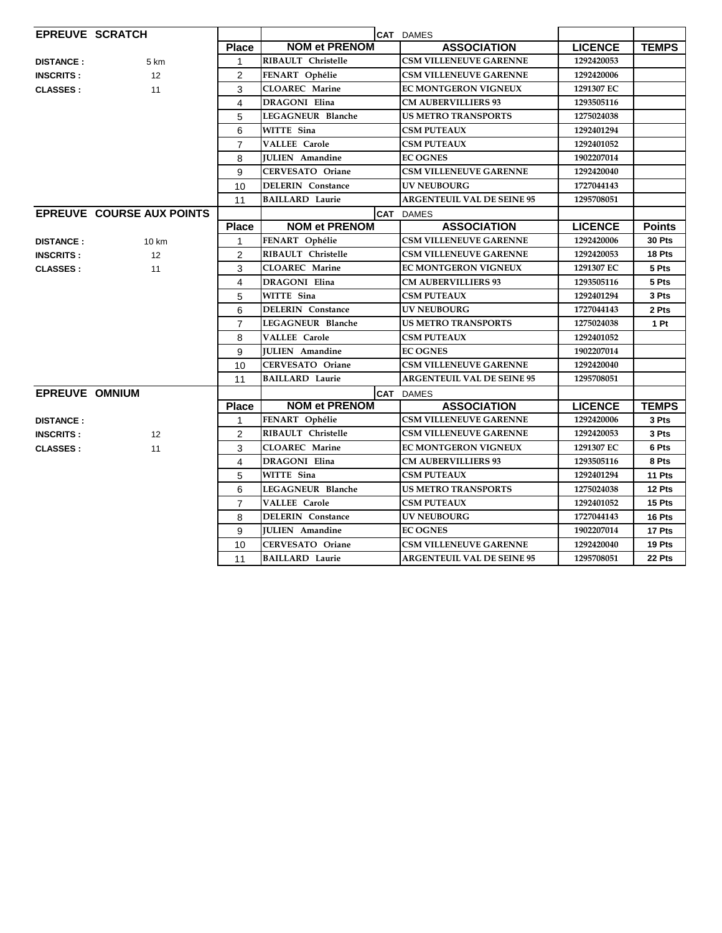| <b>EPREUVE SCRATCH</b> |                                  |                |                           | <b>CAT DAMES</b>                  |                |               |
|------------------------|----------------------------------|----------------|---------------------------|-----------------------------------|----------------|---------------|
|                        |                                  | <b>Place</b>   | <b>NOM et PRENOM</b>      | <b>ASSOCIATION</b>                | <b>LICENCE</b> | <b>TEMPS</b>  |
| <b>DISTANCE:</b>       | 5 km                             | 1              | <b>RIBAULT</b> Christelle | <b>CSM VILLENEUVE GARENNE</b>     | 1292420053     |               |
| <b>INSCRITS:</b>       | 12                               | 2              | FENART Ophélie            | <b>CSM VILLENEUVE GARENNE</b>     | 1292420006     |               |
| <b>CLASSES:</b>        | 11                               | 3              | <b>CLOAREC</b> Marine     | <b>EC MONTGERON VIGNEUX</b>       | 1291307 EC     |               |
|                        |                                  | 4              | DRAGONI Elina             | <b>CM AUBERVILLIERS 93</b>        | 1293505116     |               |
|                        |                                  | 5              | LEGAGNEUR Blanche         | <b>US METRO TRANSPORTS</b>        | 1275024038     |               |
|                        |                                  | 6              | WITTE Sina                | <b>CSM PUTEAUX</b>                | 1292401294     |               |
|                        |                                  | $\overline{7}$ | <b>VALLEE Carole</b>      | <b>CSM PUTEAUX</b>                | 1292401052     |               |
|                        |                                  | 8              | <b>JULIEN</b> Amandine    | <b>EC OGNES</b>                   | 1902207014     |               |
|                        |                                  | 9              | <b>CERVESATO Oriane</b>   | <b>CSM VILLENEUVE GARENNE</b>     | 1292420040     |               |
|                        |                                  | 10             | <b>DELERIN</b> Constance  | <b>UV NEUBOURG</b>                | 1727044143     |               |
|                        |                                  | 11             | <b>BAILLARD</b> Laurie    | <b>ARGENTEUIL VAL DE SEINE 95</b> | 1295708051     |               |
|                        | <b>EPREUVE COURSE AUX POINTS</b> |                |                           | <b>CAT DAMES</b>                  |                |               |
|                        |                                  | <b>Place</b>   | <b>NOM et PRENOM</b>      | <b>ASSOCIATION</b>                | <b>LICENCE</b> | <b>Points</b> |
| <b>DISTANCE:</b>       | 10 km                            | 1              | FENART Ophélie            | <b>CSM VILLENEUVE GARENNE</b>     | 1292420006     | 30 Pts        |
| <b>INSCRITS:</b>       | 12                               | 2              | <b>RIBAULT</b> Christelle | <b>CSM VILLENEUVE GARENNE</b>     | 1292420053     | 18 Pts        |
| <b>CLASSES:</b>        | 11                               | 3              | <b>CLOAREC</b> Marine     | <b>EC MONTGERON VIGNEUX</b>       | 1291307 EC     | 5 Pts         |
|                        |                                  | 4              | <b>DRAGONI Elina</b>      | <b>CM AUBERVILLIERS 93</b>        | 1293505116     | 5 Pts         |
|                        |                                  | 5              | WITTE Sina                | <b>CSM PUTEAUX</b>                | 1292401294     | 3 Pts         |
|                        |                                  | 6              | <b>DELERIN</b> Constance  | <b>UV NEUBOURG</b>                | 1727044143     | 2 Pts         |
|                        |                                  | $\overline{7}$ | LEGAGNEUR Blanche         | <b>US METRO TRANSPORTS</b>        | 1275024038     | 1 Pt          |
|                        |                                  | 8              | <b>VALLEE Carole</b>      | <b>CSM PUTEAUX</b>                | 1292401052     |               |
|                        |                                  | 9              | <b>JULIEN</b> Amandine    | <b>EC OGNES</b>                   | 1902207014     |               |
|                        |                                  | 10             | <b>CERVESATO Oriane</b>   | <b>CSM VILLENEUVE GARENNE</b>     | 1292420040     |               |
|                        |                                  | 11             | <b>BAILLARD Laurie</b>    | <b>ARGENTEUIL VAL DE SEINE 95</b> | 1295708051     |               |
| <b>EPREUVE OMNIUM</b>  |                                  |                |                           | <b>CAT DAMES</b>                  |                |               |
|                        |                                  | <b>Place</b>   | <b>NOM et PRENOM</b>      | <b>ASSOCIATION</b>                | <b>LICENCE</b> | <b>TEMPS</b>  |
| <b>DISTANCE:</b>       |                                  | $\mathbf{1}$   | FENART Ophélie            | <b>CSM VILLENEUVE GARENNE</b>     | 1292420006     | 3 Pts         |
| <b>INSCRITS:</b>       | 12                               | $\overline{2}$ | RIBAULT Christelle        | <b>CSM VILLENEUVE GARENNE</b>     | 1292420053     | 3 Pts         |
| <b>CLASSES:</b>        | 11                               | 3              | <b>CLOAREC</b> Marine     | <b>EC MONTGERON VIGNEUX</b>       | 1291307 EC     | 6 Pts         |
|                        |                                  | 4              | <b>DRAGONI Elina</b>      | <b>CM AUBERVILLIERS 93</b>        | 1293505116     | 8 Pts         |
|                        |                                  | 5              | WITTE Sina                | <b>CSM PUTEAUX</b>                | 1292401294     | 11 Pts        |
|                        |                                  | 6              | LEGAGNEUR Blanche         | <b>US METRO TRANSPORTS</b>        | 1275024038     | 12 Pts        |
|                        |                                  | $\overline{7}$ | <b>VALLEE Carole</b>      | <b>CSM PUTEAUX</b>                | 1292401052     | 15 Pts        |
|                        |                                  | 8              | <b>DELERIN</b> Constance  | <b>UV NEUBOURG</b>                | 1727044143     | 16 Pts        |
|                        |                                  | 9              | <b>JULIEN</b> Amandine    | <b>EC OGNES</b>                   | 1902207014     | 17 Pts        |
|                        |                                  | 10             | <b>CERVESATO Oriane</b>   | <b>CSM VILLENEUVE GARENNE</b>     | 1292420040     | 19 Pts        |
|                        |                                  | 11             | <b>BAILLARD Laurie</b>    | <b>ARGENTEUIL VAL DE SEINE 95</b> | 1295708051     | 22 Pts        |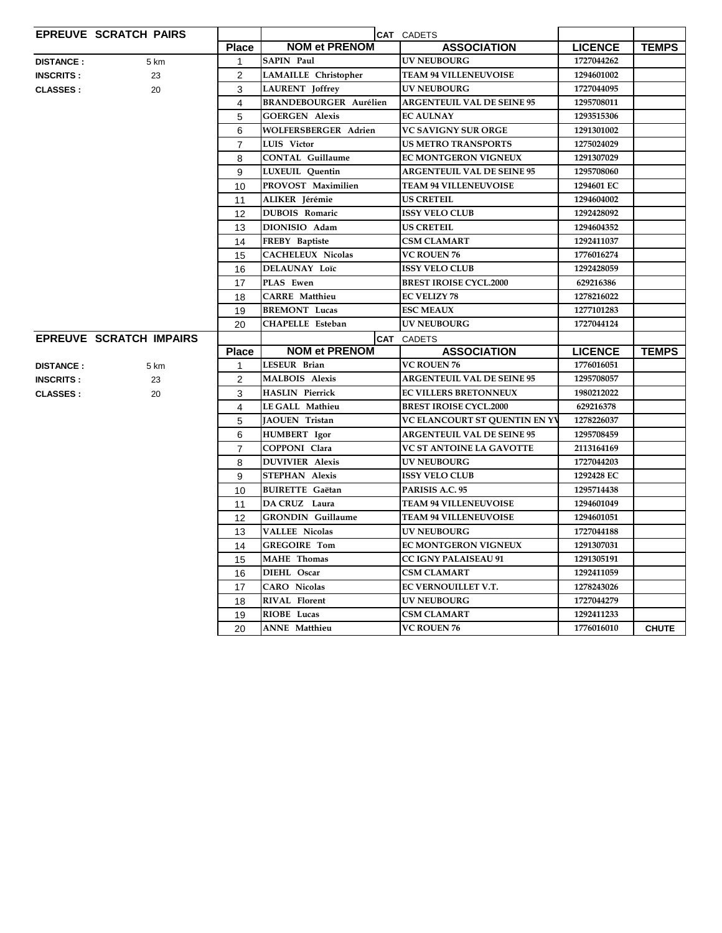|                  | <b>EPREUVE SCRATCH PAIRS</b>   |                |                               | CAT CADETS                        |                |              |
|------------------|--------------------------------|----------------|-------------------------------|-----------------------------------|----------------|--------------|
|                  |                                | <b>Place</b>   | <b>NOM et PRENOM</b>          | <b>ASSOCIATION</b>                | <b>LICENCE</b> | <b>TEMPS</b> |
| <b>DISTANCE:</b> | 5 km                           | $\mathbf{1}$   | <b>SAPIN Paul</b>             | <b>UV NEUBOURG</b>                | 1727044262     |              |
| <b>INSCRITS:</b> | 23                             | $\overline{2}$ | <b>LAMAILLE</b> Christopher   | <b>TEAM 94 VILLENEUVOISE</b>      | 1294601002     |              |
| <b>CLASSES:</b>  | 20                             | 3              | <b>LAURENT</b> Joffrey        | <b>UV NEUBOURG</b>                | 1727044095     |              |
|                  |                                | 4              | <b>BRANDEBOURGER Aurélien</b> | <b>ARGENTEUIL VAL DE SEINE 95</b> | 1295708011     |              |
|                  |                                | 5              | <b>GOERGEN Alexis</b>         | <b>EC AULNAY</b>                  | 1293515306     |              |
|                  |                                | 6              | WOLFERSBERGER Adrien          | <b>VC SAVIGNY SUR ORGE</b>        | 1291301002     |              |
|                  |                                | $\overline{7}$ | <b>LUIS Victor</b>            | US METRO TRANSPORTS               | 1275024029     |              |
|                  |                                | 8              | <b>CONTAL Guillaume</b>       | EC MONTGERON VIGNEUX              | 1291307029     |              |
|                  |                                | 9              | LUXEUIL Quentin               | <b>ARGENTEUIL VAL DE SEINE 95</b> | 1295708060     |              |
|                  |                                | 10             | PROVOST Maximilien            | <b>TEAM 94 VILLENEUVOISE</b>      | 1294601 EC     |              |
|                  |                                | 11             | ALIKER Jérémie                | <b>US CRETEIL</b>                 | 1294604002     |              |
|                  |                                | 12             | <b>DUBOIS Romaric</b>         | ISSY VELO CLUB                    | 1292428092     |              |
|                  |                                | 13             | DIONISIO Adam                 | <b>US CRETEIL</b>                 | 1294604352     |              |
|                  |                                | 14             | FREBY Baptiste                | CSM CLAMART                       | 1292411037     |              |
|                  |                                | 15             | <b>CACHELEUX Nicolas</b>      | <b>VC ROUEN 76</b>                | 1776016274     |              |
|                  |                                | 16             | DELAUNAY Loïc                 | <b>ISSY VELO CLUB</b>             | 1292428059     |              |
|                  |                                | 17             | PLAS Ewen                     | <b>BREST IROISE CYCL.2000</b>     | 629216386      |              |
|                  |                                | 18             | <b>CARRE</b> Matthieu         | <b>EC VELIZY 78</b>               | 1278216022     |              |
|                  |                                | 19             | <b>BREMONT Lucas</b>          | <b>ESC MEAUX</b>                  | 1277101283     |              |
|                  |                                | 20             | CHAPELLE Esteban              | <b>UV NEUBOURG</b>                | 1727044124     |              |
|                  | <b>EPREUVE SCRATCH IMPAIRS</b> |                |                               | <b>CAT CADETS</b>                 |                |              |
|                  |                                | <b>Place</b>   | <b>NOM et PRENOM</b>          | <b>ASSOCIATION</b>                | <b>LICENCE</b> | <b>TEMPS</b> |
| <b>DISTANCE:</b> | 5 km                           | 1              | LESEUR Brian                  | <b>VC ROUEN 76</b>                | 1776016051     |              |
| <b>INSCRITS:</b> | 23                             | 2              | <b>MALBOIS Alexis</b>         | <b>ARGENTEUIL VAL DE SEINE 95</b> | 1295708057     |              |
| <b>CLASSES:</b>  | 20                             | 3              | <b>HASLIN Pierrick</b>        | <b>EC VILLERS BRETONNEUX</b>      | 1980212022     |              |
|                  |                                | 4              | LE GALL Mathieu               | <b>BREST IROISE CYCL.2000</b>     | 629216378      |              |
|                  |                                | 5              | JAOUEN Tristan                | VC ELANCOURT ST QUENTIN EN YV     | 1278226037     |              |
|                  |                                | 6              | <b>HUMBERT</b> Igor           | <b>ARGENTEUIL VAL DE SEINE 95</b> | 1295708459     |              |
|                  |                                | $\overline{7}$ | COPPONI Clara                 | VC ST ANTOINE LA GAVOTTE          | 2113164169     |              |
|                  |                                | 8              | <b>DUVIVIER Alexis</b>        | <b>UV NEUBOURG</b>                | 1727044203     |              |
|                  |                                | 9              | <b>STEPHAN Alexis</b>         | <b>ISSY VELO CLUB</b>             | 1292428 EC     |              |
|                  |                                | 10             | <b>BUIRETTE Gaëtan</b>        | PARISIS A.C. 95                   | 1295714438     |              |
|                  |                                | 11             | DA CRUZ Laura                 | <b>TEAM 94 VILLENEUVOISE</b>      | 1294601049     |              |
|                  |                                | 12             | <b>GRONDIN</b> Guillaume      | <b>TEAM 94 VILLENEUVOISE</b>      | 1294601051     |              |
|                  |                                | 13             | <b>VALLEE Nicolas</b>         | UV NEUBOURG                       | 1727044188     |              |
|                  |                                | 14             | <b>GREGOIRE Tom</b>           | <b>EC MONTGERON VIGNEUX</b>       | 1291307031     |              |
|                  |                                | 15             | <b>MAHE</b> Thomas            | <b>CC IGNY PALAISEAU 91</b>       | 1291305191     |              |
|                  |                                | 16             | DIEHL Oscar                   | CSM CLAMART                       | 1292411059     |              |
|                  |                                | 17             | <b>CARO</b> Nicolas           | EC VERNOUILLET V.T.               | 1278243026     |              |
|                  |                                |                |                               |                                   |                |              |
|                  |                                | 18             | RIVAL Florent                 | UV NEUBOURG                       | 1727044279     |              |
|                  |                                | 19             | RIOBE Lucas                   | CSM CLAMART                       | 1292411233     |              |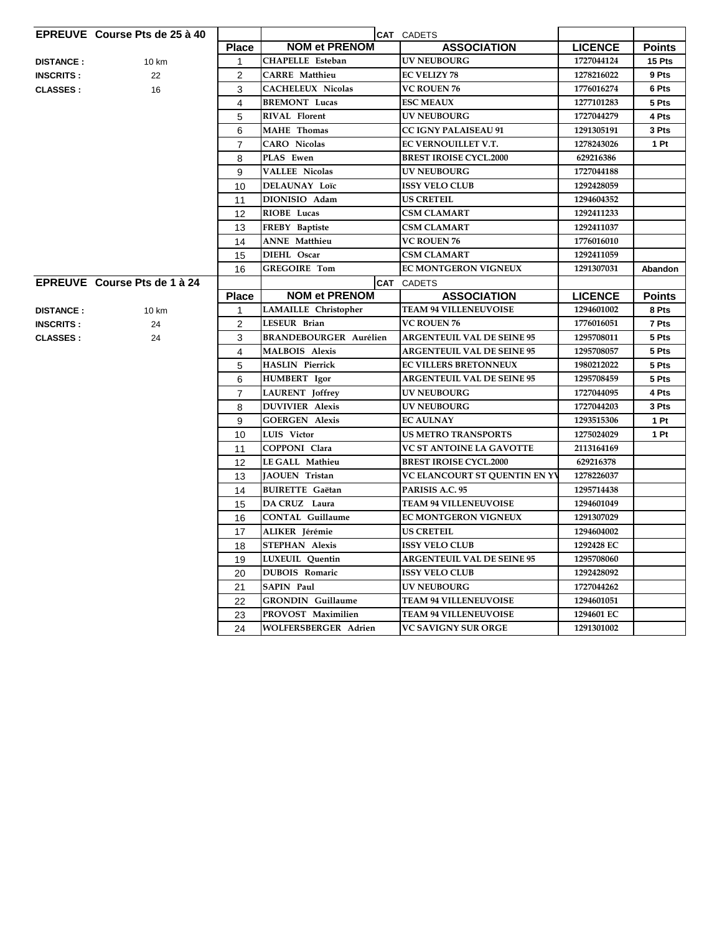|                  | <b>EPREUVE</b> Course Pts de 25 à 40 |                |                               | CAT CADETS                        |                |                |
|------------------|--------------------------------------|----------------|-------------------------------|-----------------------------------|----------------|----------------|
|                  |                                      | <b>Place</b>   | <b>NOM et PRENOM</b>          | <b>ASSOCIATION</b>                | <b>LICENCE</b> | <b>Points</b>  |
| <b>DISTANCE:</b> | 10 km                                | 1              | <b>CHAPELLE</b> Esteban       | <b>UV NEUBOURG</b>                | 1727044124     | 15 Pts         |
| <b>INSCRITS:</b> | 22                                   | $\overline{2}$ | <b>CARRE</b> Matthieu         | <b>EC VELIZY 78</b>               | 1278216022     | 9 Pts          |
| <b>CLASSES:</b>  | 16                                   | 3              | <b>CACHELEUX Nicolas</b>      | <b>VC ROUEN 76</b>                | 1776016274     | 6 Pts          |
|                  |                                      | 4              | <b>BREMONT</b> Lucas          | <b>ESC MEAUX</b>                  | 1277101283     | 5 Pts          |
|                  |                                      | 5              | <b>RIVAL Florent</b>          | <b>UV NEUBOURG</b>                | 1727044279     | 4 Pts          |
|                  |                                      | 6              | <b>MAHE</b> Thomas            | <b>CC IGNY PALAISEAU 91</b>       | 1291305191     | 3 Pts          |
|                  |                                      | $\overline{7}$ | <b>CARO</b> Nicolas           | EC VERNOUILLET V.T.               | 1278243026     | 1 Pt           |
|                  |                                      | 8              | PLAS Ewen                     | <b>BREST IROISE CYCL.2000</b>     | 629216386      |                |
|                  |                                      | 9              | <b>VALLEE Nicolas</b>         | <b>UV NEUBOURG</b>                | 1727044188     |                |
|                  |                                      | 10             | <b>DELAUNAY Loïc</b>          | <b>ISSY VELO CLUB</b>             | 1292428059     |                |
|                  |                                      | 11             | DIONISIO Adam                 | <b>US CRETEIL</b>                 | 1294604352     |                |
|                  |                                      | 12             | RIOBE Lucas                   | <b>CSM CLAMART</b>                | 1292411233     |                |
|                  |                                      | 13             | FREBY Baptiste                | <b>CSM CLAMART</b>                | 1292411037     |                |
|                  |                                      | 14             | <b>ANNE</b> Matthieu          | <b>VC ROUEN 76</b>                | 1776016010     |                |
|                  |                                      | 15             | DIEHL Oscar                   | <b>CSM CLAMART</b>                | 1292411059     |                |
|                  |                                      | 16             | <b>GREGOIRE Tom</b>           | <b>EC MONTGERON VIGNEUX</b>       | 1291307031     | <b>Abandon</b> |
|                  | EPREUVE Course Pts de 1 à 24         |                |                               | <b>CAT</b> CADETS                 |                |                |
|                  |                                      | <b>Place</b>   | <b>NOM et PRENOM</b>          | <b>ASSOCIATION</b>                | <b>LICENCE</b> | <b>Points</b>  |
| <b>DISTANCE:</b> | 10 km                                | 1              | LAMAILLE Christopher          | <b>TEAM 94 VILLENEUVOISE</b>      | 1294601002     | 8 Pts          |
| <b>INSCRITS:</b> | 24                                   | 2              | LESEUR Brian                  | <b>VC ROUEN 76</b>                | 1776016051     | 7 Pts          |
| <b>CLASSES:</b>  | 24                                   | 3              | <b>BRANDEBOURGER Aurélien</b> | <b>ARGENTEUIL VAL DE SEINE 95</b> | 1295708011     | 5 Pts          |
|                  |                                      | 4              | <b>MALBOIS Alexis</b>         | <b>ARGENTEUIL VAL DE SEINE 95</b> | 1295708057     | 5 Pts          |
|                  |                                      | 5              | <b>HASLIN</b> Pierrick        | <b>EC VILLERS BRETONNEUX</b>      | 1980212022     | 5 Pts          |
|                  |                                      | 6              | <b>HUMBERT</b> Igor           | <b>ARGENTEUIL VAL DE SEINE 95</b> | 1295708459     | 5 Pts          |
|                  |                                      | $\overline{7}$ | LAURENT Joffrey               | <b>UV NEUBOURG</b>                | 1727044095     | 4 Pts          |
|                  |                                      | 8              | <b>DUVIVIER Alexis</b>        | <b>UV NEUBOURG</b>                | 1727044203     | 3 Pts          |
|                  |                                      | 9              | <b>GOERGEN Alexis</b>         | <b>EC AULNAY</b>                  | 1293515306     | 1 Pt           |
|                  |                                      | 10             | LUIS Victor                   | <b>US METRO TRANSPORTS</b>        | 1275024029     | 1 Pt           |
|                  |                                      | 11             | COPPONI Clara                 | <b>VC ST ANTOINE LA GAVOTTE</b>   | 2113164169     |                |
|                  |                                      | 12             | LE GALL Mathieu               | <b>BREST IROISE CYCL.2000</b>     | 629216378      |                |
|                  |                                      | 13             | JAOUEN Tristan                | VC ELANCOURT ST QUENTIN EN YV     | 1278226037     |                |
|                  |                                      | 14             | <b>BUIRETTE</b> Gaëtan        | PARISIS A.C. 95                   | 1295714438     |                |
|                  |                                      | 15             | DA CRUZ Laura                 | <b>TEAM 94 VILLENEUVOISE</b>      | 1294601049     |                |
|                  |                                      | 16             | CONTAL Guillaume              | <b>EC MONTGERON VIGNEUX</b>       | 1291307029     |                |
|                  |                                      | 17             | ALIKER Jérémie                | <b>US CRETEIL</b>                 | 1294604002     |                |
|                  |                                      | 18             | STEPHAN Alexis                | <b>ISSY VELO CLUB</b>             | 1292428 EC     |                |
|                  |                                      | 19             | LUXEUIL Quentin               | <b>ARGENTEUIL VAL DE SEINE 95</b> | 1295708060     |                |
|                  |                                      | 20             | DUBOIS Romaric                | <b>ISSY VELO CLUB</b>             | 1292428092     |                |
|                  |                                      | 21             | <b>SAPIN Paul</b>             | <b>UV NEUBOURG</b>                | 1727044262     |                |
|                  |                                      | 22             | <b>GRONDIN</b> Guillaume      | <b>TEAM 94 VILLENEUVOISE</b>      | 1294601051     |                |
|                  |                                      | 23             | PROVOST Maximilien            | <b>TEAM 94 VILLENEUVOISE</b>      | 1294601 EC     |                |
|                  |                                      | 24             | <b>WOLFERSBERGER Adrien</b>   | <b>VC SAVIGNY SUR ORGE</b>        | 1291301002     |                |